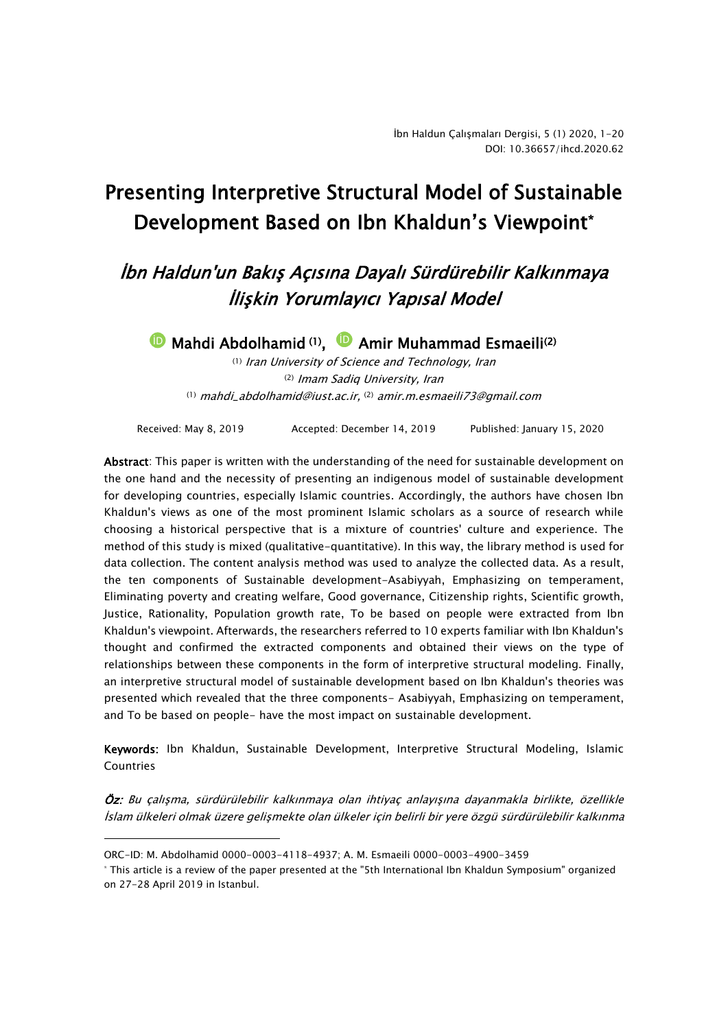# Presenting Interpretive Structural Model of Sustainable Development Based on Ibn Khaldun's Viewpoint\*

# İbn Haldun'un Bakış Açısına Dayalı Sürdürebilir Kalkınmaya İlişkin Yorumlayıcı Yapısal Model

**D** Mahdi Abdolhamid (1), **D** Amir Muhammad Esmaeili<sup>(2)</sup>

(1) Iran University of Science and Technology, Iran (2) Imam Sadiq University, Iran (1) mahdi\_abdolhamid@iust.ac.ir, (2) amir.m.esmaeili73@gmail.com

Received: May 8, 2019 Accepted: December 14, 2019 Published: January 15, 2020

Abstract: This paper is written with the understanding of the need for sustainable development on the one hand and the necessity of presenting an indigenous model of sustainable development for developing countries, especially Islamic countries. Accordingly, the authors have chosen Ibn Khaldun's views as one of the most prominent Islamic scholars as a source of research while choosing a historical perspective that is a mixture of countries' culture and experience. The method of this study is mixed (qualitative-quantitative). In this way, the library method is used for data collection. The content analysis method was used to analyze the collected data. As a result, the ten components of Sustainable development-Asabiyyah, Emphasizing on temperament, Eliminating poverty and creating welfare, Good governance, Citizenship rights, Scientific growth, Justice, Rationality, Population growth rate, To be based on people were extracted from Ibn Khaldun's viewpoint. Afterwards, the researchers referred to 10 experts familiar with Ibn Khaldun's thought and confirmed the extracted components and obtained their views on the type of relationships between these components in the form of interpretive structural modeling. Finally, an interpretive structural model of sustainable development based on Ibn Khaldun's theories was presented which revealed that the three components- Asabiyyah, Emphasizing on temperament, and To be based on people- have the most impact on sustainable development.

Keywords: Ibn Khaldun, Sustainable Development, Interpretive Structural Modeling, Islamic **Countries** 

Öz: Bu çalışma, sürdürülebilir kalkınmaya olan ihtiyaç anlayışına dayanmakla birlikte, özellikle İslam ülkeleri olmak üzere gelişmekte olan ülkeler için belirli bir yere özgü sürdürülebilir kalkınma

-

ORC-ID: M. Abdolhamid 0000-0003-4118-4937; A. M. Esmaeili 0000-0003-4900-3459

<sup>\*</sup> This article is a review of the paper presented at the "5th International Ibn Khaldun Symposium" organized on 27-28 April 2019 in Istanbul.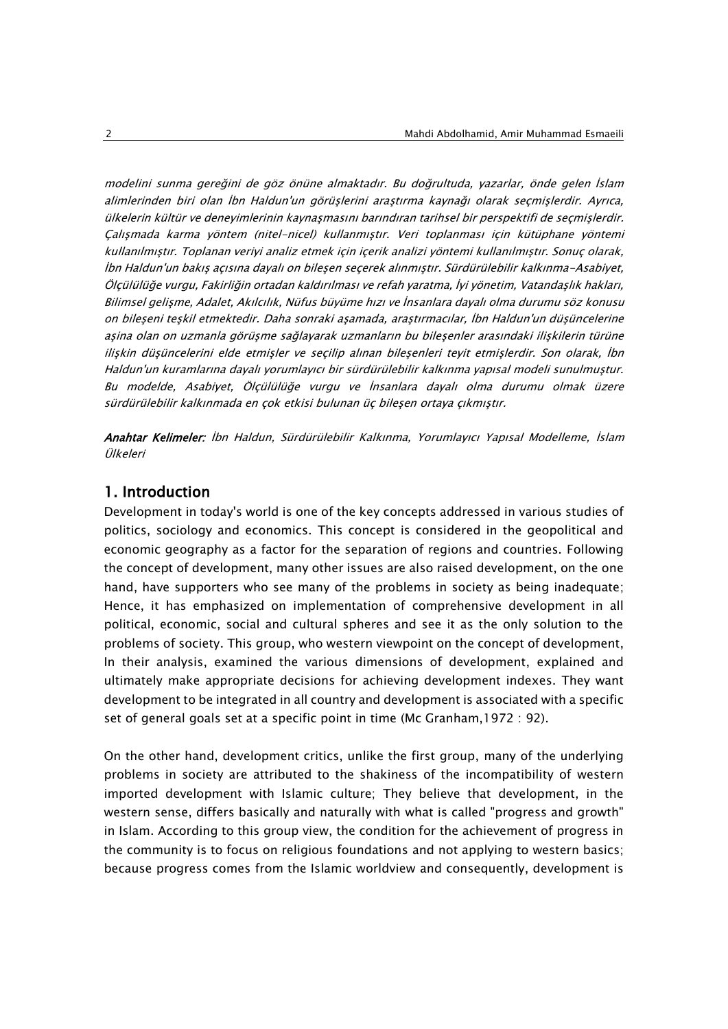modelini sunma gereğini de göz önüne almaktadır. Bu doğrultuda, yazarlar, önde gelen İslam alimlerinden biri olan İbn Haldun'un görüşlerini araştırma kaynağı olarak seçmişlerdir. Ayrıca, ülkelerin kültür ve deneyimlerinin kaynaşmasını barındıran tarihsel bir perspektifi de seçmişlerdir. Çalışmada karma yöntem (nitel-nicel) kullanmıştır. Veri toplanması için kütüphane yöntemi kullanılmıştır. Toplanan veriyi analiz etmek için içerik analizi yöntemi kullanılmıştır. Sonuç olarak, İbn Haldun'un bakış açısına dayalı on bileşen seçerek alınmıştır. Sürdürülebilir kalkınma-Asabiyet, Ölçülülüğe vurgu, Fakirliğin ortadan kaldırılması ve refah yaratma, İyi yönetim, Vatandaşlık hakları, Bilimsel gelişme, Adalet, Akılcılık, Nüfus büyüme hızı ve İnsanlara dayalı olma durumu söz konusu on bileşeni teşkil etmektedir. Daha sonraki aşamada, araştırmacılar, İbn Haldun'un düşüncelerine aşina olan on uzmanla görüşme sağlayarak uzmanların bu bileşenler arasındaki ilişkilerin türüne ilişkin düşüncelerini elde etmişler ve seçilip alınan bileşenleri teyit etmişlerdir. Son olarak, İbn Haldun'un kuramlarına dayalı yorumlayıcı bir sürdürülebilir kalkınma yapısal modeli sunulmuştur. Bu modelde, Asabiyet, Ölçülülüğe vurgu ve İnsanlara dayalı olma durumu olmak üzere <sup>s</sup>ürdürülebilir kalkınmada en çok etkisi bulunan üç bileşen ortaya çıkmıştır.

Anahtar Kelimeler: İbn Haldun, Sürdürülebilir Kalkınma, Yorumlayıcı Yapısal Modelleme, İslam Ülkeleri

# 1. Introduction

Development in today's world is one of the key concepts addressed in various studies of politics, sociology and economics. This concept is considered in the geopolitical and economic geography as a factor for the separation of regions and countries. Following the concept of development, many other issues are also raised development, on the one hand, have supporters who see many of the problems in society as being inadequate; Hence, it has emphasized on implementation of comprehensive development in all political, economic, social and cultural spheres and see it as the only solution to the problems of society. This group, who western viewpoint on the concept of development, In their analysis, examined the various dimensions of development, explained and ultimately make appropriate decisions for achieving development indexes. They want development to be integrated in all country and development is associated with a specific set of general goals set at a specific point in time (Mc Granham,1972 : 92).

On the other hand, development critics, unlike the first group, many of the underlying problems in society are attributed to the shakiness of the incompatibility of western imported development with Islamic culture; They believe that development, in the western sense, differs basically and naturally with what is called "progress and growth" in Islam. According to this group view, the condition for the achievement of progress in the community is to focus on religious foundations and not applying to western basics; because progress comes from the Islamic worldview and consequently, development is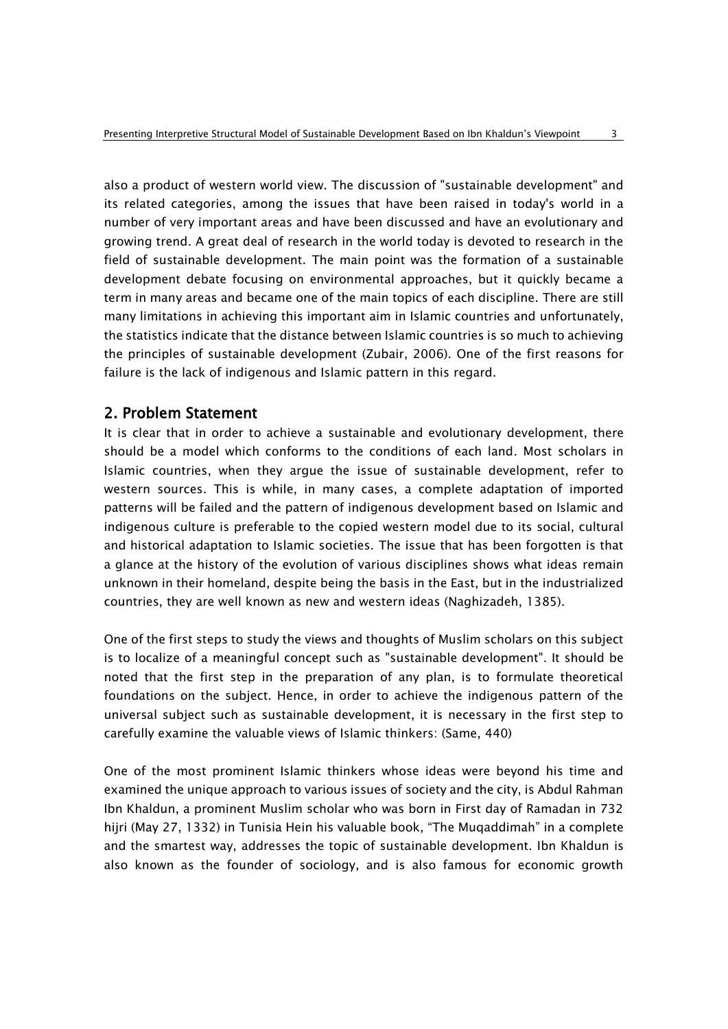also a product of western world view. The discussion of "sustainable development" and its related categories, among the issues that have been raised in today's world in a number of very important areas and have been discussed and have an evolutionary and growing trend. A great deal of research in the world today is devoted to research in the field of sustainable development. The main point was the formation of a sustainable development debate focusing on environmental approaches, but it quickly became a term in many areas and became one of the main topics of each discipline. There are still many limitations in achieving this important aim in Islamic countries and unfortunately, the statistics indicate that the distance between Islamic countries is so much to achieving the principles of sustainable development (Zubair, 2006). One of the first reasons for failure is the lack of indigenous and Islamic pattern in this regard.

# 2. Problem Statement

It is clear that in order to achieve a sustainable and evolutionary development, there should be a model which conforms to the conditions of each land. Most scholars in Islamic countries, when they argue the issue of sustainable development, refer to western sources. This is while, in many cases, a complete adaptation of imported patterns will be failed and the pattern of indigenous development based on Islamic and indigenous culture is preferable to the copied western model due to its social, cultural and historical adaptation to Islamic societies. The issue that has been forgotten is that a glance at the history of the evolution of various disciplines shows what ideas remain unknown in their homeland, despite being the basis in the East, but in the industrialized countries, they are well known as new and western ideas (Naghizadeh, 1385).

One of the first steps to study the views and thoughts of Muslim scholars on this subject is to localize of a meaningful concept such as "sustainable development". It should be noted that the first step in the preparation of any plan, is to formulate theoretical foundations on the subject. Hence, in order to achieve the indigenous pattern of the universal subject such as sustainable development, it is necessary in the first step to carefully examine the valuable views of Islamic thinkers: (Same, 440)

One of the most prominent Islamic thinkers whose ideas were beyond his time and examined the unique approach to various issues of society and the city, is Abdul Rahman Ibn Khaldun, a prominent Muslim scholar who was born in First day of Ramadan in 732 hijri (May 27, 1332) in Tunisia Hein his valuable book, "The Muqaddimah" in a complete and the smartest way, addresses the topic of sustainable development. Ibn Khaldun is also known as the founder of sociology, and is also famous for economic growth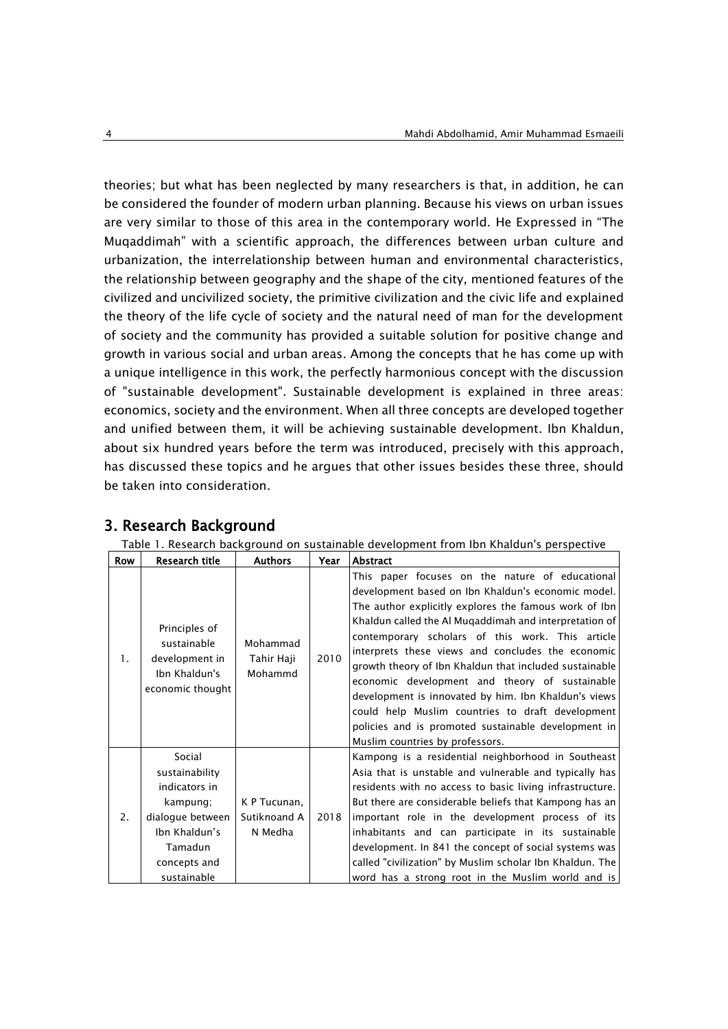theories; but what has been neglected by many researchers is that, in addition, he can be considered the founder of modern urban planning. Because his views on urban issues are very similar to those of this area in the contemporary world. He Expressed in "The Muqaddimah" with a scientific approach, the differences between urban culture and urbanization, the interrelationship between human and environmental characteristics, the relationship between geography and the shape of the city, mentioned features of the civilized and uncivilized society, the primitive civilization and the civic life and explained the theory of the life cycle of society and the natural need of man for the development of society and the community has provided a suitable solution for positive change and growth in various social and urban areas. Among the concepts that he has come up with a unique intelligence in this work, the perfectly harmonious concept with the discussion of "sustainable development". Sustainable development is explained in three areas: economics, society and the environment. When all three concepts are developed together and unified between them, it will be achieving sustainable development. Ibn Khaldun, about six hundred years before the term was introduced, precisely with this approach, has discussed these topics and he argues that other issues besides these three, should be taken into consideration.

|            | Table 1. Research background on sustainable development from Ibn Khaldun's perspective                                               |                                         |      |                                                                                                                                                                                                                                                                                                                                                                                                                                                                                                                                                                                                                                                     |  |  |
|------------|--------------------------------------------------------------------------------------------------------------------------------------|-----------------------------------------|------|-----------------------------------------------------------------------------------------------------------------------------------------------------------------------------------------------------------------------------------------------------------------------------------------------------------------------------------------------------------------------------------------------------------------------------------------------------------------------------------------------------------------------------------------------------------------------------------------------------------------------------------------------------|--|--|
| <b>Row</b> | Research title                                                                                                                       | <b>Authors</b>                          | Year | Abstract                                                                                                                                                                                                                                                                                                                                                                                                                                                                                                                                                                                                                                            |  |  |
| 1.         | Principles of<br>sustainable<br>development in<br>Ibn Khaldun's<br>economic thought                                                  | Mohammad<br>Tahir Haji<br>Mohammd       | 2010 | This paper focuses on the nature of educational<br>development based on Ibn Khaldun's economic model.<br>The author explicitly explores the famous work of Ibn<br>Khaldun called the Al Muqaddimah and interpretation of<br>contemporary scholars of this work. This article<br>interprets these views and concludes the economic<br>growth theory of Ibn Khaldun that included sustainable<br>economic development and theory of sustainable<br>development is innovated by him. Ibn Khaldun's views<br>could help Muslim countries to draft development<br>policies and is promoted sustainable development in<br>Muslim countries by professors. |  |  |
| 2.         | Social<br>sustainability<br>indicators in<br>kampung;<br>dialogue between<br>Ibn Khaldun's<br>Tamadun<br>concepts and<br>sustainable | K P Tucunan.<br>Sutiknoand A<br>N Medha | 2018 | Kampong is a residential neighborhood in Southeast<br>Asia that is unstable and vulnerable and typically has<br>residents with no access to basic living infrastructure.<br>But there are considerable beliefs that Kampong has an<br>important role in the development process of its<br>inhabitants and can participate in its sustainable<br>development. In 841 the concept of social systems was<br>called "civilization" by Muslim scholar Ibn Khaldun. The<br>word has a strong root in the Muslim world and is                                                                                                                              |  |  |

# 3. Research Background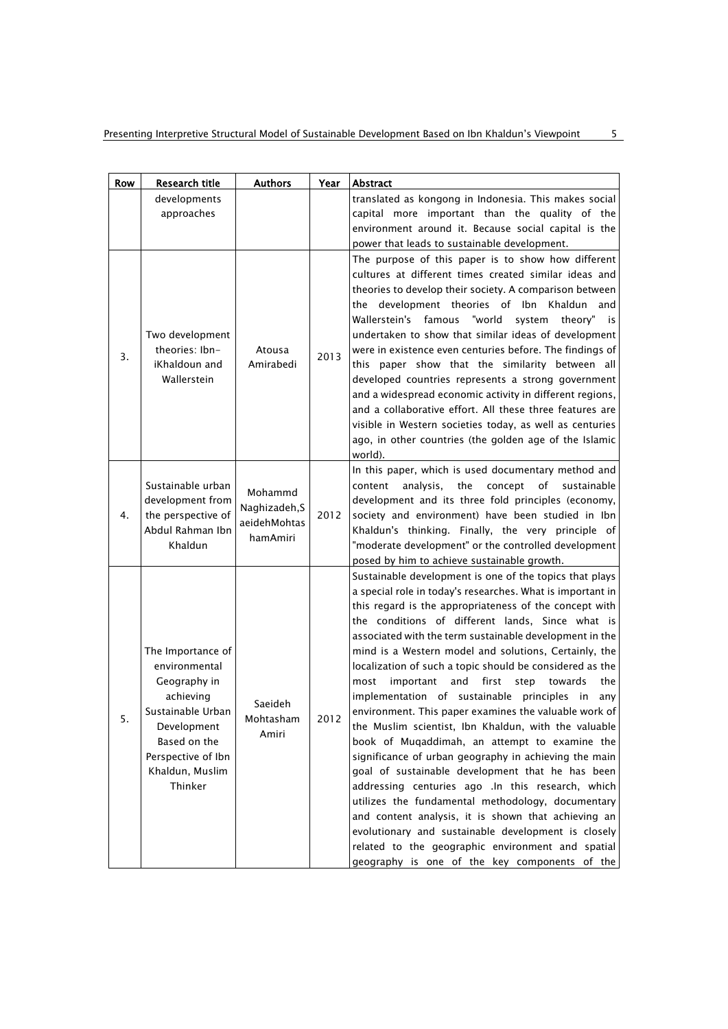| <b>Row</b> | Research title                                                                                                                                                          | <b>Authors</b>                                       | Year | Abstract                                                                                                                                                                                                                                                                                                                                                                                                                                                                                                                                                                                                                                                                                                                                                                                                                                                                                                                                                                                                                                                                                                                                              |
|------------|-------------------------------------------------------------------------------------------------------------------------------------------------------------------------|------------------------------------------------------|------|-------------------------------------------------------------------------------------------------------------------------------------------------------------------------------------------------------------------------------------------------------------------------------------------------------------------------------------------------------------------------------------------------------------------------------------------------------------------------------------------------------------------------------------------------------------------------------------------------------------------------------------------------------------------------------------------------------------------------------------------------------------------------------------------------------------------------------------------------------------------------------------------------------------------------------------------------------------------------------------------------------------------------------------------------------------------------------------------------------------------------------------------------------|
|            | developments                                                                                                                                                            |                                                      |      | translated as kongong in Indonesia. This makes social                                                                                                                                                                                                                                                                                                                                                                                                                                                                                                                                                                                                                                                                                                                                                                                                                                                                                                                                                                                                                                                                                                 |
|            | approaches                                                                                                                                                              |                                                      |      | capital more important than the quality of the                                                                                                                                                                                                                                                                                                                                                                                                                                                                                                                                                                                                                                                                                                                                                                                                                                                                                                                                                                                                                                                                                                        |
|            |                                                                                                                                                                         |                                                      |      | environment around it. Because social capital is the                                                                                                                                                                                                                                                                                                                                                                                                                                                                                                                                                                                                                                                                                                                                                                                                                                                                                                                                                                                                                                                                                                  |
|            |                                                                                                                                                                         |                                                      |      | power that leads to sustainable development.                                                                                                                                                                                                                                                                                                                                                                                                                                                                                                                                                                                                                                                                                                                                                                                                                                                                                                                                                                                                                                                                                                          |
| 3.         | Two development<br>theories: Ibn-<br>iKhaldoun and<br>Wallerstein                                                                                                       | Atousa<br>Amirabedi                                  | 2013 | The purpose of this paper is to show how different<br>cultures at different times created similar ideas and<br>theories to develop their society. A comparison between<br>the development theories of Ibn Khaldun<br>and<br>Wallerstein's<br>famous<br>"world<br>theory"<br>system<br>is<br>undertaken to show that similar ideas of development<br>were in existence even centuries before. The findings of<br>this paper show that the similarity between all<br>developed countries represents a strong government<br>and a widespread economic activity in different regions,<br>and a collaborative effort. All these three features are<br>visible in Western societies today, as well as centuries<br>ago, in other countries (the golden age of the Islamic<br>world).                                                                                                                                                                                                                                                                                                                                                                        |
| 4.         | Sustainable urban<br>development from<br>the perspective of<br>Abdul Rahman Ibn<br>Khaldun                                                                              | Mohammd<br>Naghizadeh, S<br>aeidehMohtas<br>hamAmiri | 2012 | In this paper, which is used documentary method and<br>content<br>analysis,<br>the concept<br>of<br>sustainable<br>development and its three fold principles (economy,<br>society and environment) have been studied in Ibn<br>Khaldun's thinking. Finally, the very principle of<br>"moderate development" or the controlled development<br>posed by him to achieve sustainable growth.                                                                                                                                                                                                                                                                                                                                                                                                                                                                                                                                                                                                                                                                                                                                                              |
| 5.         | The Importance of<br>environmental<br>Geography in<br>achieving<br>Sustainable Urban<br>Development<br>Based on the<br>Perspective of Ibn<br>Khaldun, Muslim<br>Thinker | Saeideh<br>Mohtasham<br>Amiri                        | 2012 | Sustainable development is one of the topics that plays<br>a special role in today's researches. What is important in<br>this regard is the appropriateness of the concept with<br>the conditions of different lands, Since what is<br>associated with the term sustainable development in the<br>mind is a Western model and solutions, Certainly, the<br>localization of such a topic should be considered as the<br>important<br>and<br>first<br>step<br>most<br>towards<br>the<br>implementation of sustainable principles in<br>any<br>environment. This paper examines the valuable work of<br>the Muslim scientist, Ibn Khaldun, with the valuable<br>book of Muqaddimah, an attempt to examine the<br>significance of urban geography in achieving the main<br>goal of sustainable development that he has been<br>addressing centuries ago .In this research, which<br>utilizes the fundamental methodology, documentary<br>and content analysis, it is shown that achieving an<br>evolutionary and sustainable development is closely<br>related to the geographic environment and spatial<br>geography is one of the key components of the |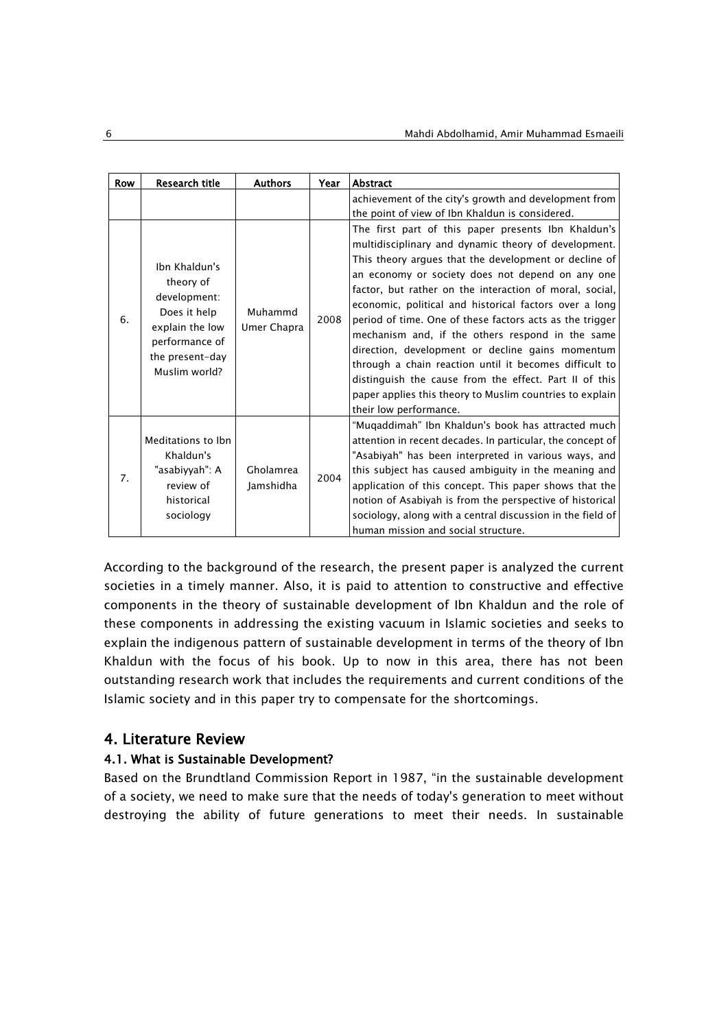| Row | Research title                                                                                                                      | <b>Authors</b>         | Year | Abstract                                                                                                                                                                                                                                                                                                                                                                                                                                                                                                                                                                                                                                                                                                                    |
|-----|-------------------------------------------------------------------------------------------------------------------------------------|------------------------|------|-----------------------------------------------------------------------------------------------------------------------------------------------------------------------------------------------------------------------------------------------------------------------------------------------------------------------------------------------------------------------------------------------------------------------------------------------------------------------------------------------------------------------------------------------------------------------------------------------------------------------------------------------------------------------------------------------------------------------------|
|     |                                                                                                                                     |                        |      | achievement of the city's growth and development from<br>the point of view of Ibn Khaldun is considered.                                                                                                                                                                                                                                                                                                                                                                                                                                                                                                                                                                                                                    |
| 6.  | Ibn Khaldun's<br>theory of<br>development:<br>Does it help<br>explain the low<br>performance of<br>the present-day<br>Muslim world? | Muhammd<br>Umer Chapra | 2008 | The first part of this paper presents Ibn Khaldun's<br>multidisciplinary and dynamic theory of development.<br>This theory argues that the development or decline of<br>an economy or society does not depend on any one<br>factor, but rather on the interaction of moral, social,<br>economic, political and historical factors over a long<br>period of time. One of these factors acts as the trigger<br>mechanism and, if the others respond in the same<br>direction, development or decline gains momentum<br>through a chain reaction until it becomes difficult to<br>distinguish the cause from the effect. Part II of this<br>paper applies this theory to Muslim countries to explain<br>their low performance. |
| 7.  | Meditations to Ibn<br>Khaldun's<br>"asabiyyah": A<br>review of<br>historical<br>sociology                                           | Gholamrea<br>lamshidha | 2004 | "Muqaddimah" Ibn Khaldun's book has attracted much<br>attention in recent decades. In particular, the concept of<br>"Asabiyah" has been interpreted in various ways, and<br>this subject has caused ambiguity in the meaning and<br>application of this concept. This paper shows that the<br>notion of Asabiyah is from the perspective of historical<br>sociology, along with a central discussion in the field of<br>human mission and social structure.                                                                                                                                                                                                                                                                 |

According to the background of the research, the present paper is analyzed the current societies in a timely manner. Also, it is paid to attention to constructive and effective components in the theory of sustainable development of Ibn Khaldun and the role of these components in addressing the existing vacuum in Islamic societies and seeks to explain the indigenous pattern of sustainable development in terms of the theory of Ibn Khaldun with the focus of his book. Up to now in this area, there has not been outstanding research work that includes the requirements and current conditions of the Islamic society and in this paper try to compensate for the shortcomings.

# 4. Literature Review

# 4.1. What is Sustainable Development?

Based on the Brundtland Commission Report in 1987, "in the sustainable development of a society, we need to make sure that the needs of today's generation to meet without destroying the ability of future generations to meet their needs. In sustainable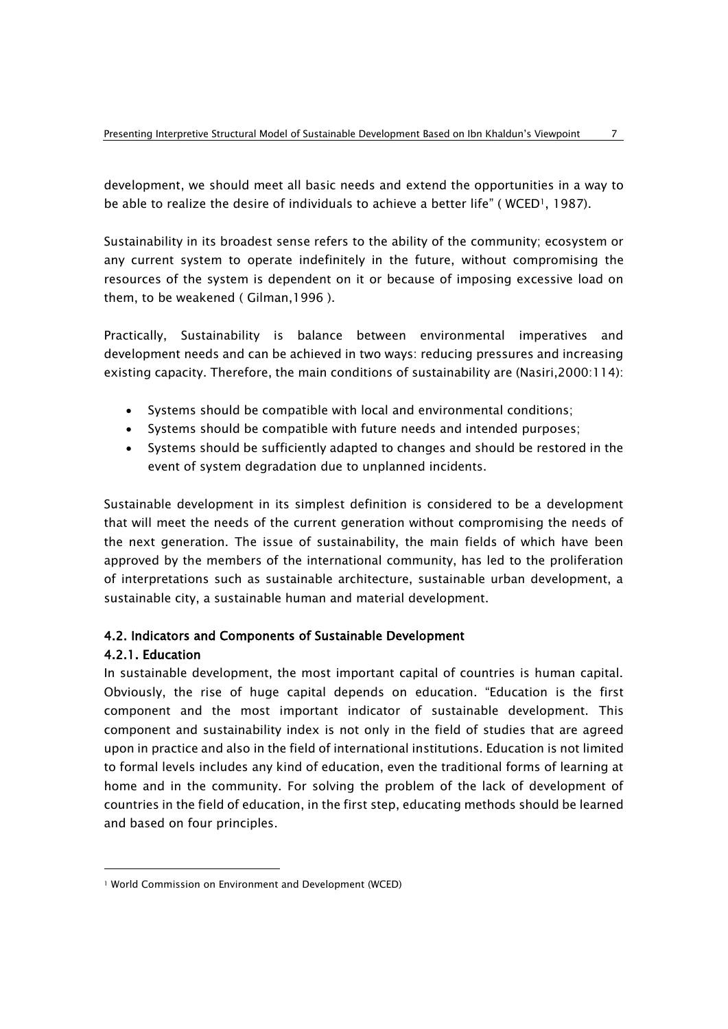development, we should meet all basic needs and extend the opportunities in a way to be able to realize the desire of individuals to achieve a better life" (WCED<sup>1</sup>, 1987).

Sustainability in its broadest sense refers to the ability of the community; ecosystem or any current system to operate indefinitely in the future, without compromising the resources of the system is dependent on it or because of imposing excessive load on them, to be weakened ( Gilman,1996 ).

Practically, Sustainability is balance between environmental imperatives and development needs and can be achieved in two ways: reducing pressures and increasing existing capacity. Therefore, the main conditions of sustainability are (Nasiri,2000:114):

- Systems should be compatible with local and environmental conditions;
- Systems should be compatible with future needs and intended purposes;
- Systems should be sufficiently adapted to changes and should be restored in the event of system degradation due to unplanned incidents.

Sustainable development in its simplest definition is considered to be a development that will meet the needs of the current generation without compromising the needs of the next generation. The issue of sustainability, the main fields of which have been approved by the members of the international community, has led to the proliferation of interpretations such as sustainable architecture, sustainable urban development, a sustainable city, a sustainable human and material development.

# 4.2. Indicators and Components of Sustainable Development

# 4.2.1. Education

1

In sustainable development, the most important capital of countries is human capital. Obviously, the rise of huge capital depends on education. "Education is the first component and the most important indicator of sustainable development. This component and sustainability index is not only in the field of studies that are agreed upon in practice and also in the field of international institutions. Education is not limited to formal levels includes any kind of education, even the traditional forms of learning at home and in the community. For solving the problem of the lack of development of countries in the field of education, in the first step, educating methods should be learned and based on four principles.

<sup>1</sup> World Commission on Environment and Development (WCED)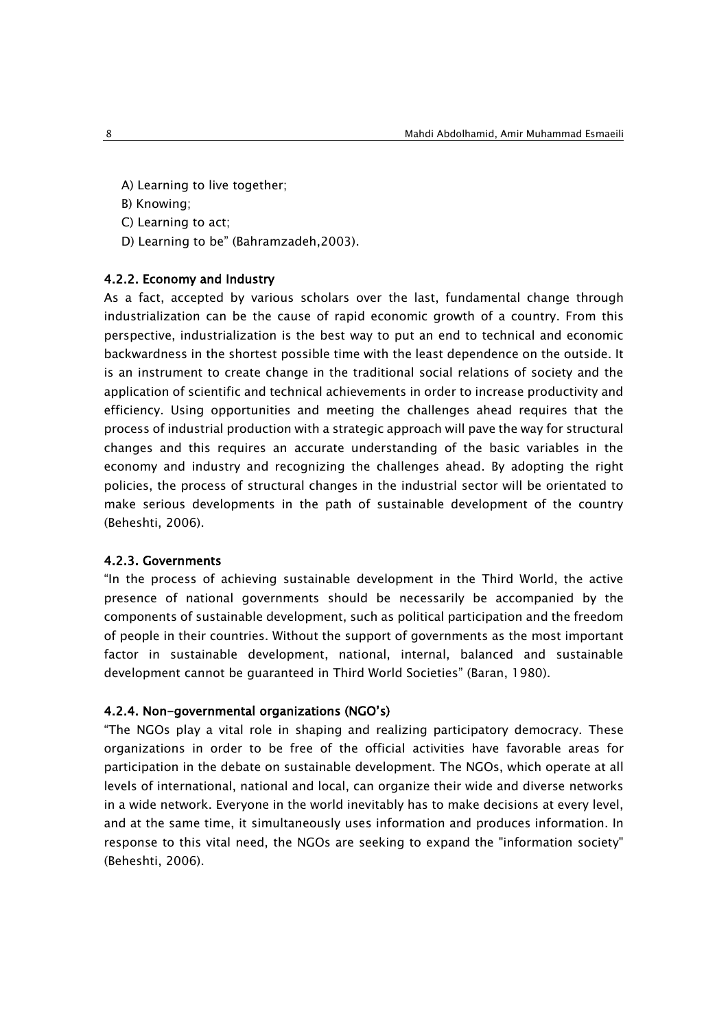- A) Learning to live together;
- B) Knowing;
- C) Learning to act;
- D) Learning to be" (Bahramzadeh,2003).

### 4.2.2. Economy and Industry

As a fact, accepted by various scholars over the last, fundamental change through industrialization can be the cause of rapid economic growth of a country. From this perspective, industrialization is the best way to put an end to technical and economic backwardness in the shortest possible time with the least dependence on the outside. It is an instrument to create change in the traditional social relations of society and the application of scientific and technical achievements in order to increase productivity and efficiency. Using opportunities and meeting the challenges ahead requires that the process of industrial production with a strategic approach will pave the way for structural changes and this requires an accurate understanding of the basic variables in the economy and industry and recognizing the challenges ahead. By adopting the right policies, the process of structural changes in the industrial sector will be orientated to make serious developments in the path of sustainable development of the country (Beheshti, 2006).

### 4.2.3. Governments

"In the process of achieving sustainable development in the Third World, the active presence of national governments should be necessarily be accompanied by the components of sustainable development, such as political participation and the freedom of people in their countries. Without the support of governments as the most important factor in sustainable development, national, internal, balanced and sustainable development cannot be guaranteed in Third World Societies" (Baran, 1980).

#### 4.2.4. Non-governmental organizations (NGO's)

"The NGOs play a vital role in shaping and realizing participatory democracy. These organizations in order to be free of the official activities have favorable areas for participation in the debate on sustainable development. The NGOs, which operate at all levels of international, national and local, can organize their wide and diverse networks in a wide network. Everyone in the world inevitably has to make decisions at every level, and at the same time, it simultaneously uses information and produces information. In response to this vital need, the NGOs are seeking to expand the "information society" (Beheshti, 2006).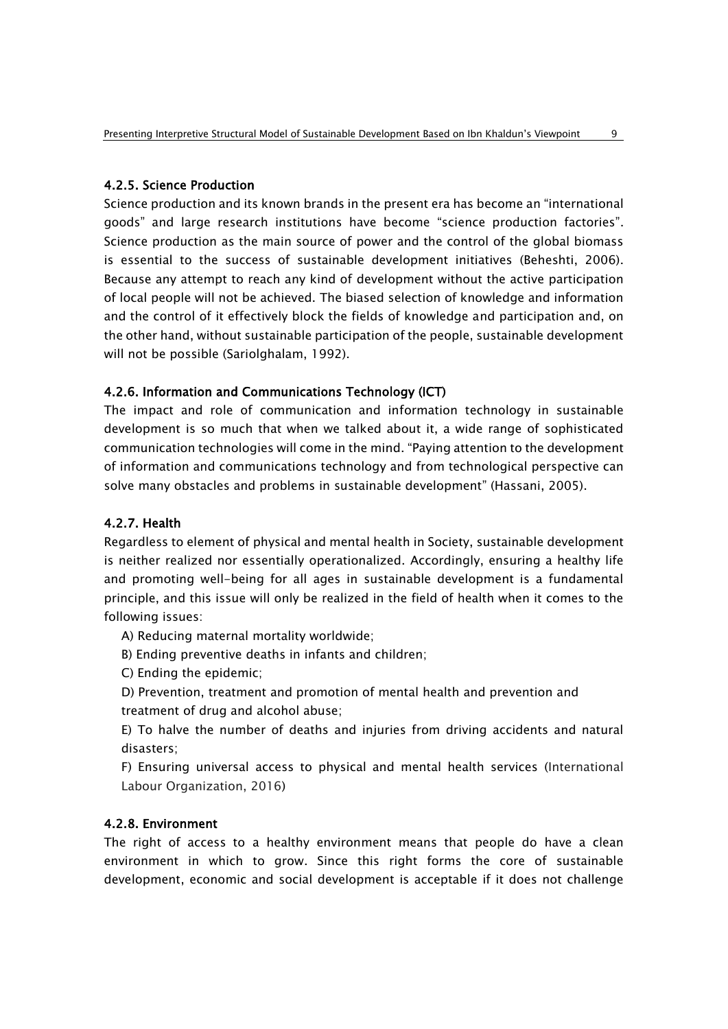# 4.2.5. Science Production

Science production and its known brands in the present era has become an "international goods" and large research institutions have become "science production factories". Science production as the main source of power and the control of the global biomass is essential to the success of sustainable development initiatives (Beheshti, 2006). Because any attempt to reach any kind of development without the active participation of local people will not be achieved. The biased selection of knowledge and information and the control of it effectively block the fields of knowledge and participation and, on the other hand, without sustainable participation of the people, sustainable development will not be possible (Sariolghalam, 1992).

### 4.2.6. Information and Communications Technology (ICT)

The impact and role of communication and information technology in sustainable development is so much that when we talked about it, a wide range of sophisticated communication technologies will come in the mind. "Paying attention to the development of information and communications technology and from technological perspective can solve many obstacles and problems in sustainable development" (Hassani, 2005).

# 4.2.7. Health

Regardless to element of physical and mental health in Society, sustainable development is neither realized nor essentially operationalized. Accordingly, ensuring a healthy life and promoting well-being for all ages in sustainable development is a fundamental principle, and this issue will only be realized in the field of health when it comes to the following issues:

A) Reducing maternal mortality worldwide;

B) Ending preventive deaths in infants and children;

C) Ending the epidemic;

D) Prevention, treatment and promotion of mental health and prevention and treatment of drug and alcohol abuse;

E) To halve the number of deaths and injuries from driving accidents and natural disasters;

F) Ensuring universal access to physical and mental health services (International Labour Organization, 2016)

### 4.2.8. Environment

The right of access to a healthy environment means that people do have a clean environment in which to grow. Since this right forms the core of sustainable development, economic and social development is acceptable if it does not challenge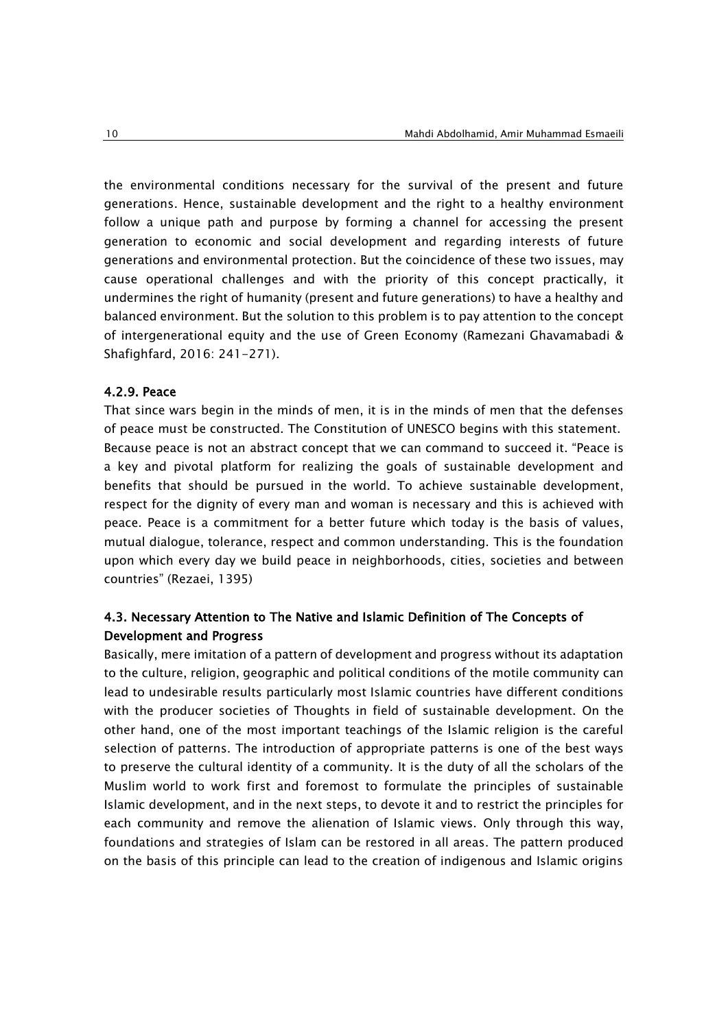the environmental conditions necessary for the survival of the present and future generations. Hence, sustainable development and the right to a healthy environment follow a unique path and purpose by forming a channel for accessing the present generation to economic and social development and regarding interests of future generations and environmental protection. But the coincidence of these two issues, may cause operational challenges and with the priority of this concept practically, it undermines the right of humanity (present and future generations) to have a healthy and balanced environment. But the solution to this problem is to pay attention to the concept of intergenerational equity and the use of Green Economy (Ramezani Ghavamabadi & Shafighfard, 2016: 241-271).

#### 4.2.9. Peace

That since wars begin in the minds of men, it is in the minds of men that the defenses of peace must be constructed. The Constitution of UNESCO begins with this statement. Because peace is not an abstract concept that we can command to succeed it. "Peace is a key and pivotal platform for realizing the goals of sustainable development and benefits that should be pursued in the world. To achieve sustainable development, respect for the dignity of every man and woman is necessary and this is achieved with peace. Peace is a commitment for a better future which today is the basis of values, mutual dialogue, tolerance, respect and common understanding. This is the foundation upon which every day we build peace in neighborhoods, cities, societies and between countries" (Rezaei, 1395)

# 4.3. Necessary Attention to The Native and Islamic Definition of The Concepts of Development and Progress

Basically, mere imitation of a pattern of development and progress without its adaptation to the culture, religion, geographic and political conditions of the motile community can lead to undesirable results particularly most Islamic countries have different conditions with the producer societies of Thoughts in field of sustainable development. On the other hand, one of the most important teachings of the Islamic religion is the careful selection of patterns. The introduction of appropriate patterns is one of the best ways to preserve the cultural identity of a community. It is the duty of all the scholars of the Muslim world to work first and foremost to formulate the principles of sustainable Islamic development, and in the next steps, to devote it and to restrict the principles for each community and remove the alienation of Islamic views. Only through this way, foundations and strategies of Islam can be restored in all areas. The pattern produced on the basis of this principle can lead to the creation of indigenous and Islamic origins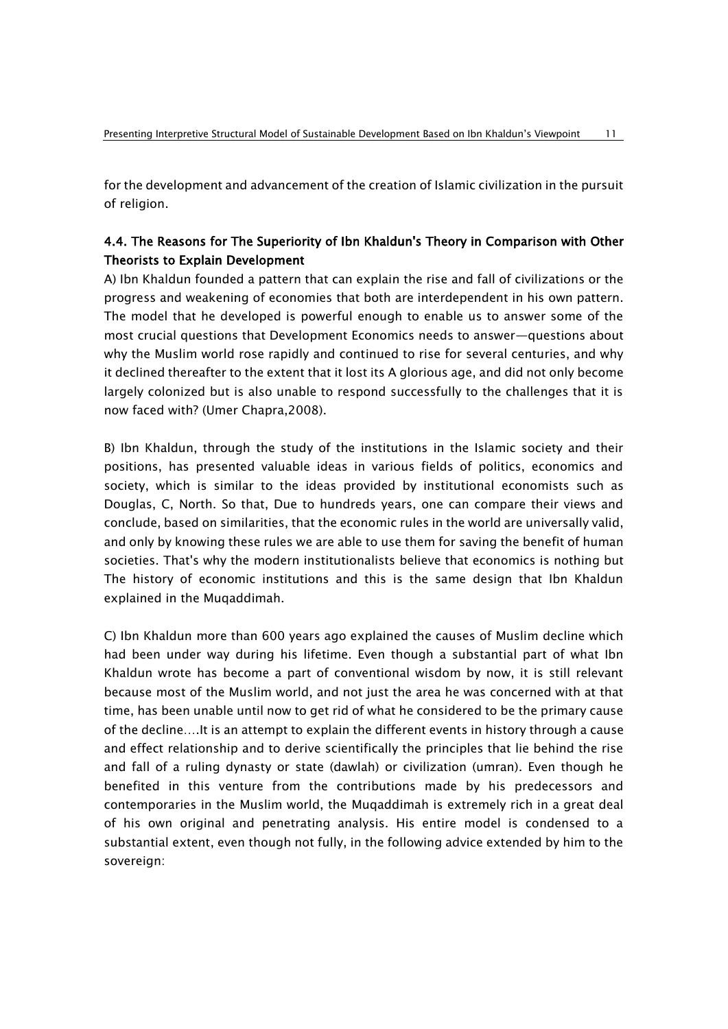for the development and advancement of the creation of Islamic civilization in the pursuit of religion.

# 4.4. The Reasons for The Superiority of Ibn Khaldun's Theory in Comparison with Other Theorists to Explain Development

A) Ibn Khaldun founded a pattern that can explain the rise and fall of civilizations or the progress and weakening of economies that both are interdependent in his own pattern. The model that he developed is powerful enough to enable us to answer some of the most crucial questions that Development Economics needs to answer—questions about why the Muslim world rose rapidly and continued to rise for several centuries, and why it declined thereafter to the extent that it lost its A glorious age, and did not only become largely colonized but is also unable to respond successfully to the challenges that it is now faced with? (Umer Chapra,2008).

B) Ibn Khaldun, through the study of the institutions in the Islamic society and their positions, has presented valuable ideas in various fields of politics, economics and society, which is similar to the ideas provided by institutional economists such as Douglas, C, North. So that, Due to hundreds years, one can compare their views and conclude, based on similarities, that the economic rules in the world are universally valid, and only by knowing these rules we are able to use them for saving the benefit of human societies. That's why the modern institutionalists believe that economics is nothing but The history of economic institutions and this is the same design that Ibn Khaldun explained in the Muqaddimah.

C) Ibn Khaldun more than 600 years ago explained the causes of Muslim decline which had been under way during his lifetime. Even though a substantial part of what Ibn Khaldun wrote has become a part of conventional wisdom by now, it is still relevant because most of the Muslim world, and not just the area he was concerned with at that time, has been unable until now to get rid of what he considered to be the primary cause of the decline….It is an attempt to explain the different events in history through a cause and effect relationship and to derive scientifically the principles that lie behind the rise and fall of a ruling dynasty or state (dawlah) or civilization (umran). Even though he benefited in this venture from the contributions made by his predecessors and contemporaries in the Muslim world, the Muqaddimah is extremely rich in a great deal of his own original and penetrating analysis. His entire model is condensed to a substantial extent, even though not fully, in the following advice extended by him to the sovereign: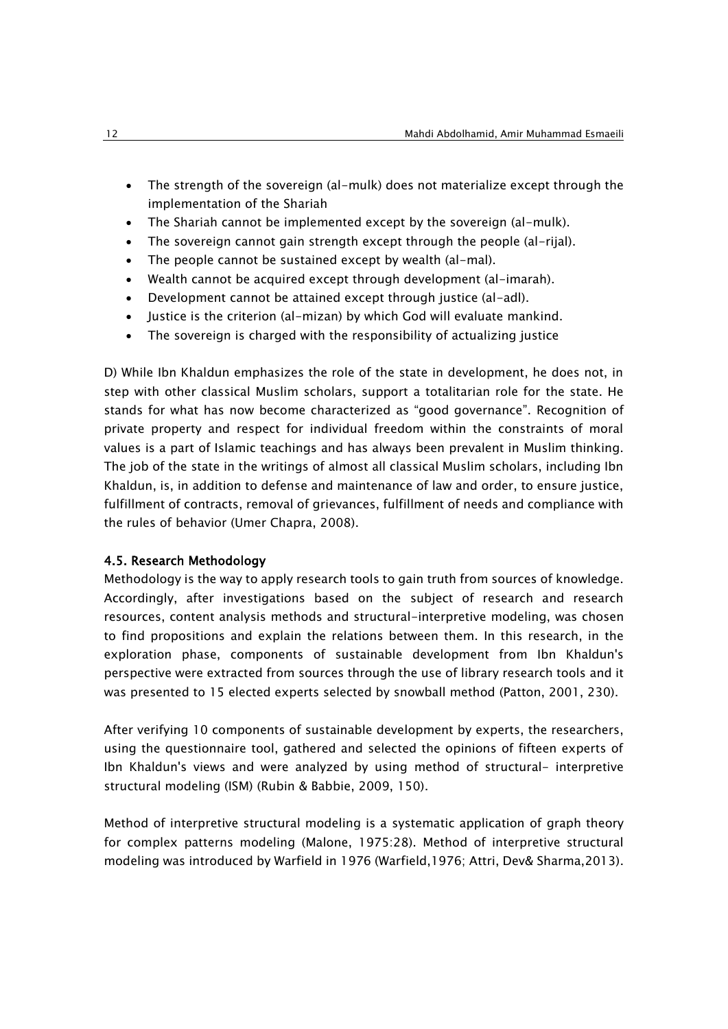- The strength of the sovereign (al-mulk) does not materialize except through the implementation of the Shariah
- The Shariah cannot be implemented except by the sovereign (al-mulk).
- The sovereign cannot gain strength except through the people (al-rijal).
- The people cannot be sustained except by wealth (al-mal).
- Wealth cannot be acquired except through development (al-imarah).
- Development cannot be attained except through justice (al-adl).
- Justice is the criterion (al-mizan) by which God will evaluate mankind.
- The sovereign is charged with the responsibility of actualizing justice

D) While Ibn Khaldun emphasizes the role of the state in development, he does not, in step with other classical Muslim scholars, support a totalitarian role for the state. He stands for what has now become characterized as "good governance". Recognition of private property and respect for individual freedom within the constraints of moral values is a part of Islamic teachings and has always been prevalent in Muslim thinking. The job of the state in the writings of almost all classical Muslim scholars, including Ibn Khaldun, is, in addition to defense and maintenance of law and order, to ensure justice, fulfillment of contracts, removal of grievances, fulfillment of needs and compliance with the rules of behavior (Umer Chapra, 2008).

### 4.5. Research Methodology

Methodology is the way to apply research tools to gain truth from sources of knowledge. Accordingly, after investigations based on the subject of research and research resources, content analysis methods and structural-interpretive modeling, was chosen to find propositions and explain the relations between them. In this research, in the exploration phase, components of sustainable development from Ibn Khaldun's perspective were extracted from sources through the use of library research tools and it was presented to 15 elected experts selected by snowball method (Patton, 2001, 230).

After verifying 10 components of sustainable development by experts, the researchers, using the questionnaire tool, gathered and selected the opinions of fifteen experts of Ibn Khaldun's views and were analyzed by using method of structural- interpretive structural modeling (ISM) (Rubin & [Babbie,](http://www.google.com/search?tbo=p&tbm=bks&q=inauthor:%22Earl+Babbie%22&source=gbs_metadata_r&cad=8) 2009, 150).

Method of interpretive structural modeling is a systematic application of graph theory for complex patterns modeling (Malone, 1975:28). Method of interpretive structural modeling was introduced by Warfield in 1976 (Warfield,1976; Attri, Dev& Sharma,2013).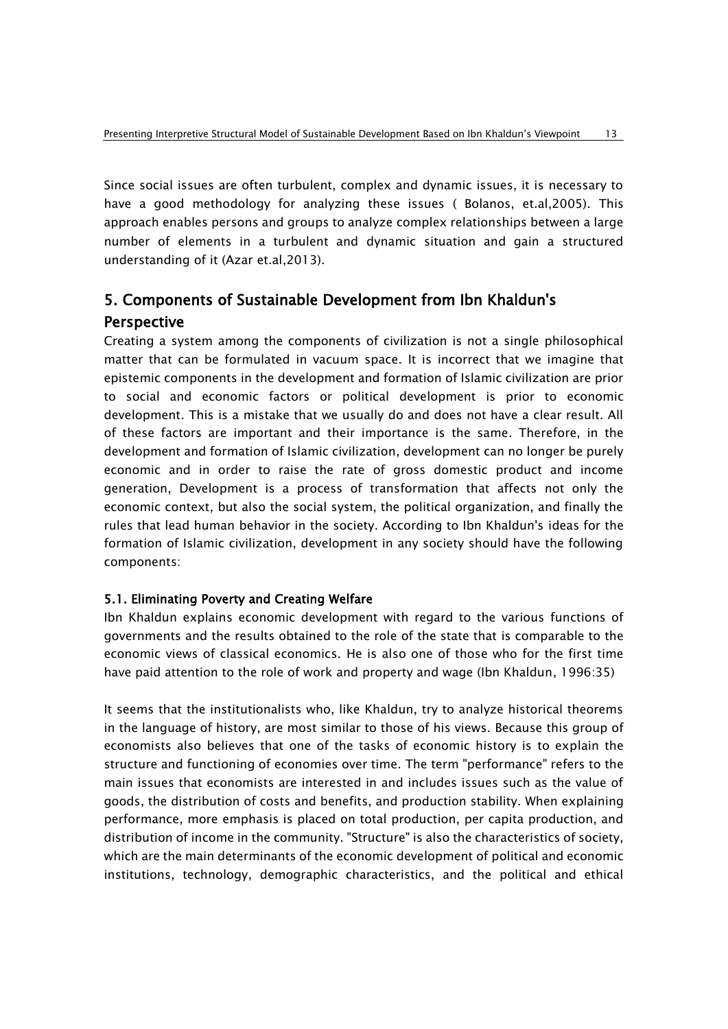Since social issues are often turbulent, complex and dynamic issues, it is necessary to have a good methodology for analyzing these issues ( Bolanos, et.al,2005). This approach enables persons and groups to analyze complex relationships between a large number of elements in a turbulent and dynamic situation and gain a structured understanding of it (Azar et.al,2013).

# 5. Components of Sustainable Development from Ibn Khaldun's **Perspective**

Creating a system among the components of civilization is not a single philosophical matter that can be formulated in vacuum space. It is incorrect that we imagine that epistemic components in the development and formation of Islamic civilization are prior to social and economic factors or political development is prior to economic development. This is a mistake that we usually do and does not have a clear result. All of these factors are important and their importance is the same. Therefore, in the development and formation of Islamic civilization, development can no longer be purely economic and in order to raise the rate of gross domestic product and income generation, Development is a process of transformation that affects not only the economic context, but also the social system, the political organization, and finally the rules that lead human behavior in the society. According to Ibn Khaldun's ideas for the formation of Islamic civilization, development in any society should have the following components:

# 5.1. Eliminating Poverty and Creating Welfare

Ibn Khaldun explains economic development with regard to the various functions of governments and the results obtained to the role of the state that is comparable to the economic views of classical economics. He is also one of those who for the first time have paid attention to the role of work and property and wage (Ibn Khaldun, 1996:35)

It seems that the institutionalists who, like Khaldun, try to analyze historical theorems in the language of history, are most similar to those of his views. Because this group of economists also believes that one of the tasks of economic history is to explain the structure and functioning of economies over time. The term "performance" refers to the main issues that economists are interested in and includes issues such as the value of goods, the distribution of costs and benefits, and production stability. When explaining performance, more emphasis is placed on total production, per capita production, and distribution of income in the community. "Structure" is also the characteristics of society, which are the main determinants of the economic development of political and economic institutions, technology, demographic characteristics, and the political and ethical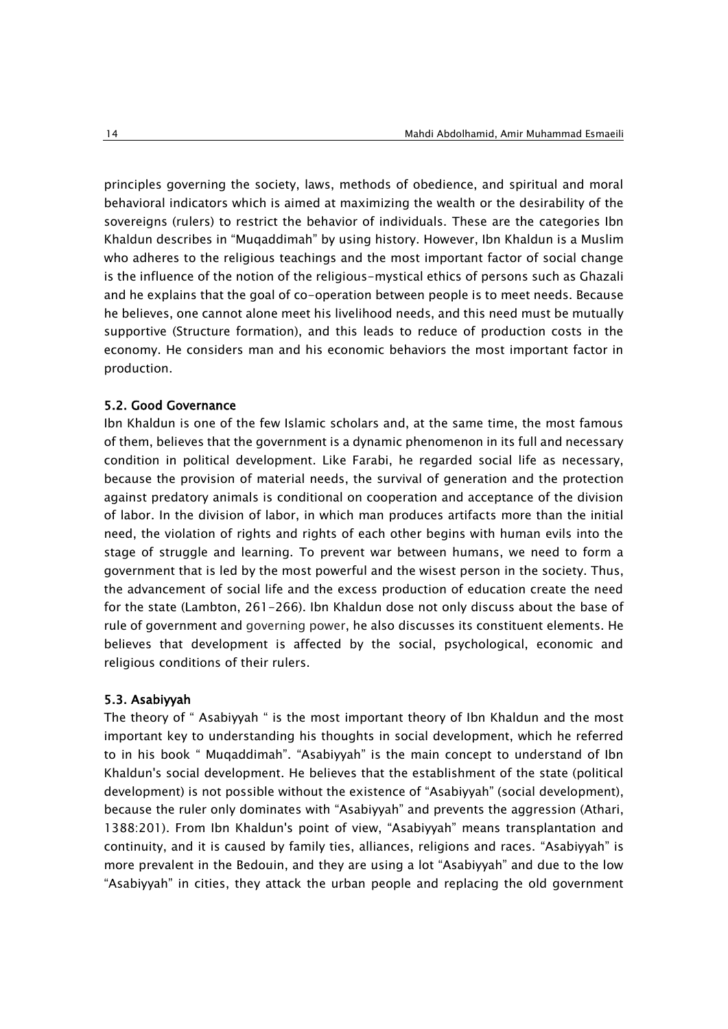principles governing the society, laws, methods of obedience, and spiritual and moral behavioral indicators which is aimed at maximizing the wealth or the desirability of the sovereigns (rulers) to restrict the behavior of individuals. These are the categories Ibn Khaldun describes in "Muqaddimah" by using history. However, Ibn Khaldun is a Muslim who adheres to the religious teachings and the most important factor of social change is the influence of the notion of the religious-mystical ethics of persons such as Ghazali and he explains that the goal of co-operation between people is to meet needs. Because he believes, one cannot alone meet his livelihood needs, and this need must be mutually supportive (Structure formation), and this leads to reduce of production costs in the economy. He considers man and his economic behaviors the most important factor in production.

#### 5.2. Good Governance

Ibn Khaldun is one of the few Islamic scholars and, at the same time, the most famous of them, believes that the government is a dynamic phenomenon in its full and necessary condition in political development. Like Farabi, he regarded social life as necessary, because the provision of material needs, the survival of generation and the protection against predatory animals is conditional on cooperation and acceptance of the division of labor. In the division of labor, in which man produces artifacts more than the initial need, the violation of rights and rights of each other begins with human evils into the stage of struggle and learning. To prevent war between humans, we need to form a government that is led by the most powerful and the wisest person in the society. Thus, the advancement of social life and the excess production of education create the need for the state (Lambton, 261-266). Ibn Khaldun dose not only discuss about the base of rule of government and governing power, he also discusses its constituent elements. He believes that development is affected by the social, psychological, economic and religious conditions of their rulers.

#### 5.3. Asabiyyah

The theory of " Asabiyyah " is the most important theory of Ibn Khaldun and the most important key to understanding his thoughts in social development, which he referred to in his book " Muqaddimah". "Asabiyyah" is the main concept to understand of Ibn Khaldun's social development. He believes that the establishment of the state (political development) is not possible without the existence of "Asabiyyah" (social development), because the ruler only dominates with "Asabiyyah" and prevents the aggression (Athari, 1388:201). From Ibn Khaldun's point of view, "Asabiyyah" means transplantation and continuity, and it is caused by family ties, alliances, religions and races. "Asabiyyah" is more prevalent in the Bedouin, and they are using a lot "Asabiyyah" and due to the low "Asabiyyah" in cities, they attack the urban people and replacing the old government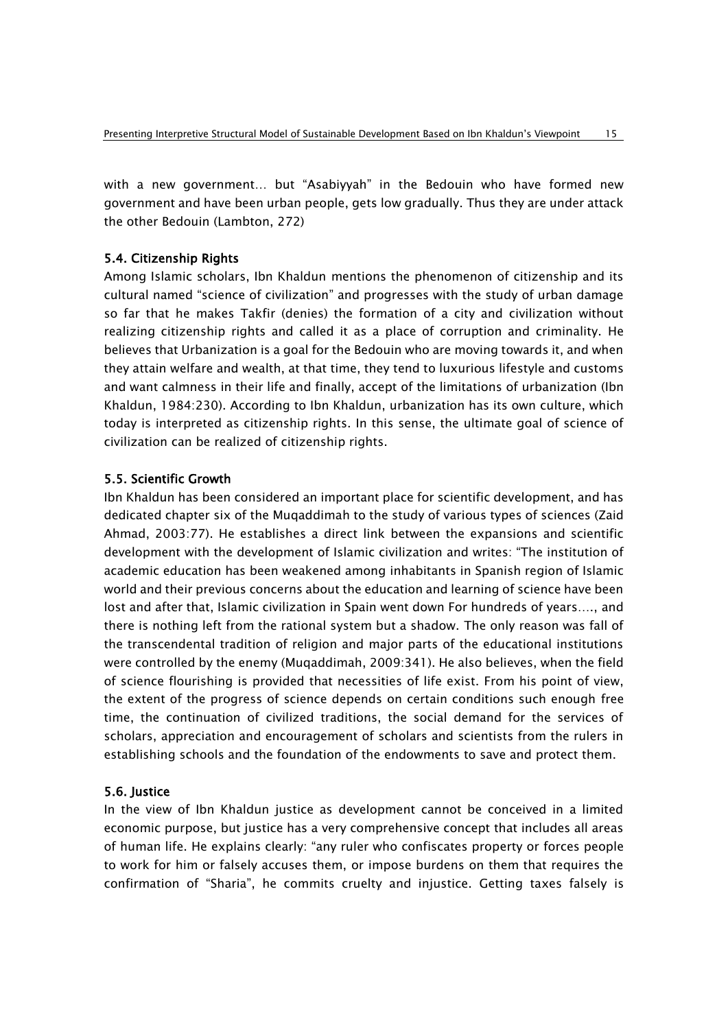with a new government… but "Asabiyyah" in the Bedouin who have formed new government and have been urban people, gets low gradually. Thus they are under attack the other Bedouin (Lambton, 272)

### 5.4. Citizenship Rights

Among Islamic scholars, Ibn Khaldun mentions the phenomenon of citizenship and its cultural named "science of civilization" and progresses with the study of urban damage so far that he makes Takfir (denies) the formation of a city and civilization without realizing citizenship rights and called it as a place of corruption and criminality. He believes that Urbanization is a goal for the Bedouin who are moving towards it, and when they attain welfare and wealth, at that time, they tend to luxurious lifestyle and customs and want calmness in their life and finally, accept of the limitations of urbanization (Ibn Khaldun, 1984:230). According to Ibn Khaldun, urbanization has its own culture, which today is interpreted as citizenship rights. In this sense, the ultimate goal of science of civilization can be realized of citizenship rights.

# 5.5. Scientific Growth

Ibn Khaldun has been considered an important place for scientific development, and has dedicated chapter six of the Muqaddimah to the study of various types of sciences (Zaid Ahmad, 2003:77). He establishes a direct link between the expansions and scientific development with the development of Islamic civilization and writes: "The institution of academic education has been weakened among inhabitants in Spanish region of Islamic world and their previous concerns about the education and learning of science have been lost and after that, Islamic civilization in Spain went down For hundreds of years…., and there is nothing left from the rational system but a shadow. The only reason was fall of the transcendental tradition of religion and major parts of the educational institutions were controlled by the enemy (Muqaddimah, 2009:341). He also believes, when the field of science flourishing is provided that necessities of life exist. From his point of view, the extent of the progress of science depends on certain conditions such enough free time, the continuation of civilized traditions, the social demand for the services of scholars, appreciation and encouragement of scholars and scientists from the rulers in establishing schools and the foundation of the endowments to save and protect them.

# 5.6. Justice

In the view of Ibn Khaldun justice as development cannot be conceived in a limited economic purpose, but justice has a very comprehensive concept that includes all areas of human life. He explains clearly: "any ruler who confiscates property or forces people to work for him or falsely accuses them, or impose burdens on them that requires the confirmation of "Sharia", he commits cruelty and injustice. Getting taxes falsely is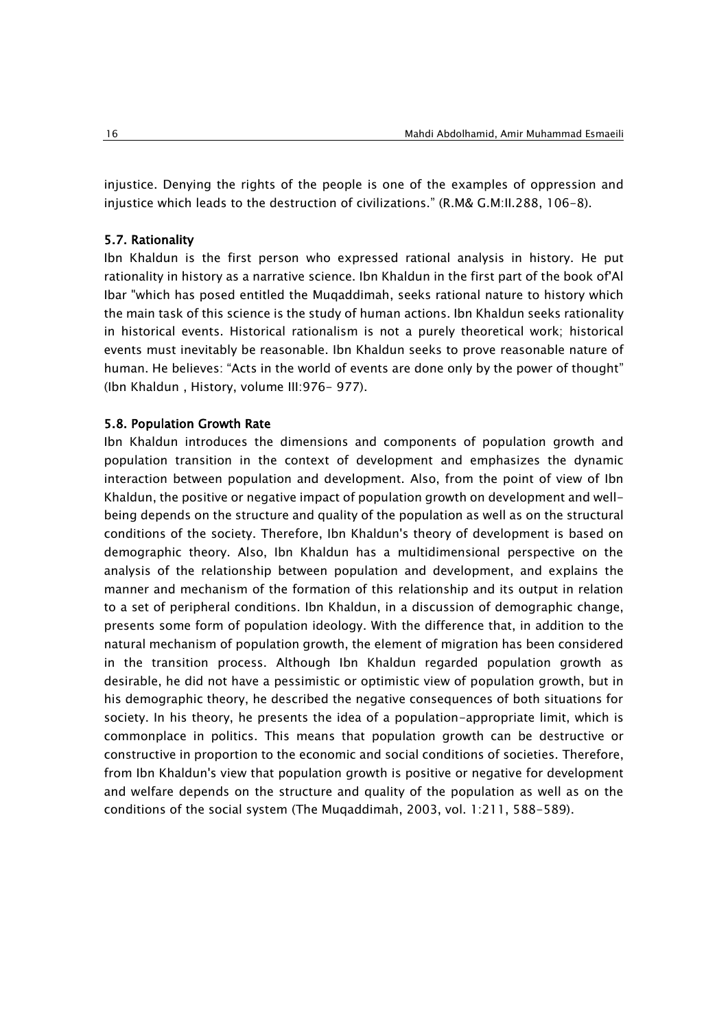injustice. Denying the rights of the people is one of the examples of oppression and injustice which leads to the destruction of civilizations." (R.M& G.M:II.288, 106-8).

#### 5.7. Rationality

Ibn Khaldun is the first person who expressed rational analysis in history. He put rationality in history as a narrative science. Ibn Khaldun in the first part of the book of'Al Ibar "which has posed entitled the Muqaddimah, seeks rational nature to history which the main task of this science is the study of human actions. Ibn Khaldun seeks rationality in historical events. Historical rationalism is not a purely theoretical work; historical events must inevitably be reasonable. Ibn Khaldun seeks to prove reasonable nature of human. He believes: "Acts in the world of events are done only by the power of thought" (Ibn Khaldun , History, volume III:976- 977).

#### 5.8. Population Growth Rate

Ibn Khaldun introduces the dimensions and components of population growth and population transition in the context of development and emphasizes the dynamic interaction between population and development. Also, from the point of view of Ibn Khaldun, the positive or negative impact of population growth on development and wellbeing depends on the structure and quality of the population as well as on the structural conditions of the society. Therefore, Ibn Khaldun's theory of development is based on demographic theory. Also, Ibn Khaldun has a multidimensional perspective on the analysis of the relationship between population and development, and explains the manner and mechanism of the formation of this relationship and its output in relation to a set of peripheral conditions. Ibn Khaldun, in a discussion of demographic change, presents some form of population ideology. With the difference that, in addition to the natural mechanism of population growth, the element of migration has been considered in the transition process. Although Ibn Khaldun regarded population growth as desirable, he did not have a pessimistic or optimistic view of population growth, but in his demographic theory, he described the negative consequences of both situations for society. In his theory, he presents the idea of a population-appropriate limit, which is commonplace in politics. This means that population growth can be destructive or constructive in proportion to the economic and social conditions of societies. Therefore, from Ibn Khaldun's view that population growth is positive or negative for development and welfare depends on the structure and quality of the population as well as on the conditions of the social system (The Muqaddimah, 2003, vol. 1:211, 588-589).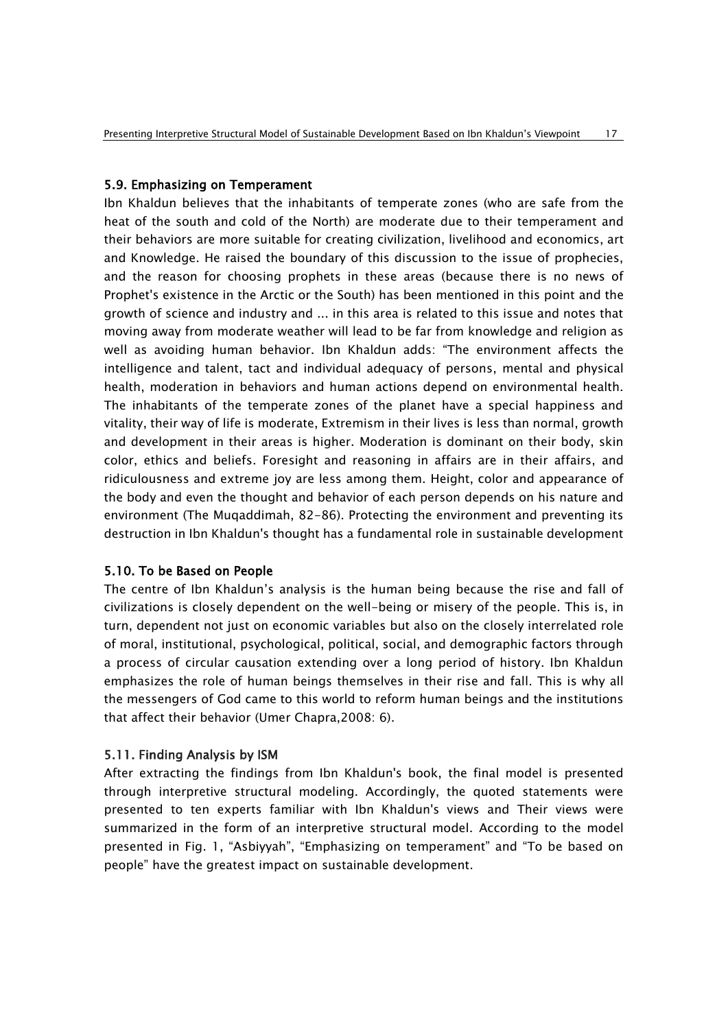### 5.9. Emphasizing on Temperament

Ibn Khaldun believes that the inhabitants of [temperate zones \(who](https://en.wikipedia.org/wiki/Temperate_climate) are safe from the [heat of the south and cold of the North\)](https://en.wikipedia.org/wiki/Temperate_climate) are moderate due to their temperament and their behaviors [are more suitable for creating civilization, livelihood and economics, art](https://en.wikipedia.org/wiki/Temperate_climate)  and [Knowledge. He raised the boundary of this discussion to the issue of prophecies,](https://en.wikipedia.org/wiki/Temperate_climate)  and the reason for choosing prophets [in these areas \(because there is no news of](https://en.wikipedia.org/wiki/Temperate_climate)  [Prophet's existence in the Arctic or the South\) has been mentioned in this point](https://en.wikipedia.org/wiki/Temperate_climate) and the [growth of science and industry and ... in this area is related to this issue and notes that](https://en.wikipedia.org/wiki/Temperate_climate) [moving away from moderate weather will lead to be far from](https://en.wikipedia.org/wiki/Temperate_climate) knowledge and religion as [well as avoiding human behavior.](https://en.wikipedia.org/wiki/Temperate_climate) Ibn Khaldun adds: "The environment affects the intelligence and talent, tact and [individual adequacy of persons,](https://en.wikipedia.org/wiki/Temperate_climate) mental and physical health, moderation in behaviors [and human actions depend on environmental health.](https://en.wikipedia.org/wiki/Temperate_climate) [The inhabitants of the temperate zones of the planet have a special happiness and](https://en.wikipedia.org/wiki/Temperate_climate)  vitality, their way of life is moderate, [Extremism in their lives is less than normal,](https://en.wikipedia.org/wiki/Temperate_climate) growth [and development in their areas is higher. Moderation](https://en.wikipedia.org/wiki/Temperate_climate) is dominant on their body, skin [color, ethics and beliefs. Foresight and reasoning in affairs are in their affairs, and](https://en.wikipedia.org/wiki/Temperate_climate)  ridiculousness [and extreme joy are less among them.](https://en.wikipedia.org/wiki/Temperate_climate) Height, color and appearance of [the body and even the thought and behavior of each person depends on his nature and](https://en.wikipedia.org/wiki/Temperate_climate)  environment [\(The Muqaddimah, 82-86\). Protecting the environment and preventing its](https://en.wikipedia.org/wiki/Temperate_climate)  [destruction in Ibn Khaldun's thought has a fundamental role in sustainable development](https://en.wikipedia.org/wiki/Temperate_climate)

### 5.10. To be Based on People

The centre of Ibn Khaldun's analysis is the human being because the rise and fall of civilizations is closely dependent on the well-being or misery of the people. This is, in turn, dependent not just on economic variables but also on the closely interrelated role of moral, institutional, psychological, political, social, and demographic factors through a process of circular causation extending over a long period of history. Ibn Khaldun emphasizes the role of human beings themselves in their rise and fall. This is why all the messengers of God came to this world to reform human beings and the institutions that affect their behavior (Umer Chapra,2008: 6).

# 5.11. Finding Analysis by ISM

After extracting the findings from Ibn Khaldun's book, the final model is presented through interpretive structural modeling. Accordingly, the quoted statements were presented to ten experts familiar with Ibn Khaldun's views and Their views were summarized in the form of an interpretive structural model. According to the model presented in Fig. 1, "Asbiyyah", "Emphasizing on temperament" and "To be based on people" have the greatest impact on sustainable development.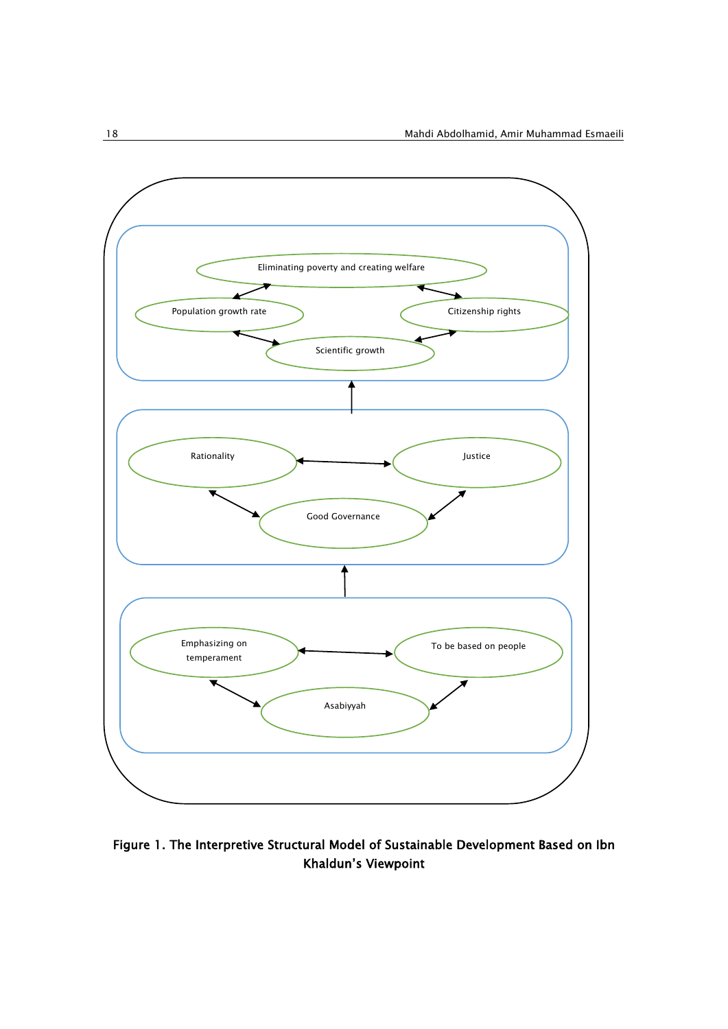

Figure 1. The Interpretive Structural Model of Sustainable Development Based on Ibn Khaldun's Viewpoint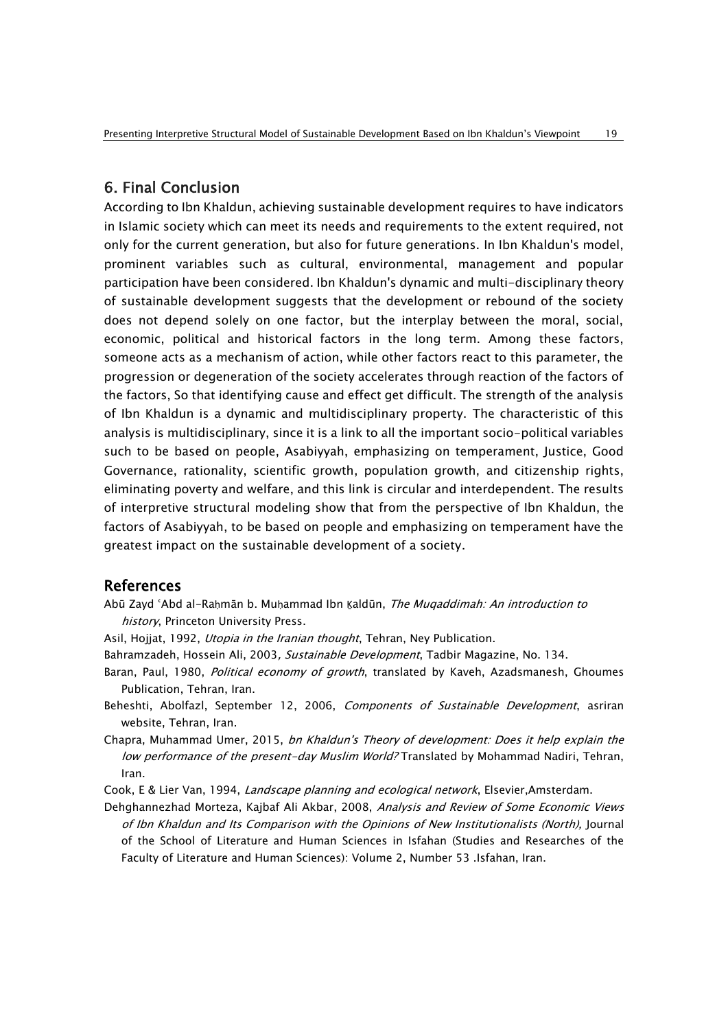# 6. Final Conclusion

According to Ibn Khaldun, achieving sustainable development requires to have indicators in Islamic society which can meet its needs and requirements to the extent required, not only for the current generation, but also for future generations. In Ibn Khaldun's model, prominent variables such as cultural, environmental, management and popular participation have been considered. Ibn Khaldun's dynamic and multi-disciplinary theory of sustainable development suggests that the development or rebound of the society does not depend solely on one factor, but the interplay between the moral, social, economic, political and historical factors in the long term. Among these factors, someone acts as a mechanism of action, while other factors react to this parameter, the progression or degeneration of the society accelerates through reaction of the factors of the factors, So that identifying cause and effect get difficult. The strength of the analysis of Ibn Khaldun is a dynamic and multidisciplinary property. The characteristic of this analysis is multidisciplinary, since it is a link to all the important socio-political variables such to be based on people, Asabiyyah, emphasizing on temperament, Justice, Good Governance, rationality, scientific growth, population growth, and citizenship rights, eliminating poverty and welfare, and this link is circular and interdependent. The results of interpretive structural modeling show that from the perspective of Ibn Khaldun, the factors of Asabiyyah, to be based on people and emphasizing on temperament have the greatest impact on the sustainable development of a society.

# References

- Abū Zayd 'Abd al-Raḥmān b. Muḥammad Ibn Kaldūn, The Muqaddimah: An introduction to history, Princeton University Press.
- Asil, Hojjat, 1992, *Utopia in the Iranian thought*, Tehran, Ney Publication.
- Bahramzadeh, Hossein Ali, 2003, Sustainable Development, Tadbir Magazine, No. 134.
- Baran, Paul, 1980, *Political economy of growth*, translated by Kaveh, Azadsmanesh, Ghoumes Publication, Tehran, Iran.
- Beheshti, Abolfazl, September 12, 2006, Components of Sustainable Development, asriran website, Tehran, Iran.
- Chapra, Muhammad Umer, 2015, bn Khaldun's Theory of development: Does it help explain the low performance of the present-day Muslim World? Translated by Mohammad Nadiri, Tehran, Iran.
- Cook, E & Lier Van, 1994, Landscape planning and ecological network, Elsevier, Amsterdam.
- Dehghannezhad Morteza, Kajbaf Ali Akbar, 2008, Analysis and Review of Some Economic Views of Ibn Khaldun and Its Comparison with the Opinions of New Institutionalists (North), Journal of the School of Literature and Human Sciences in Isfahan (Studies and Researches of the Faculty of Literature and Human Sciences): Volume 2, Number 53 .Isfahan, Iran.